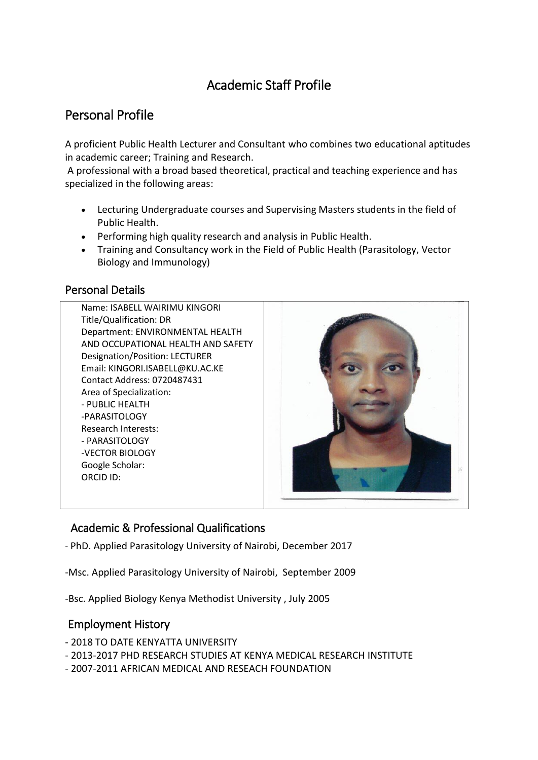# Academic Staff Profile

## Personal Profile

A proficient Public Health Lecturer and Consultant who combines two educational aptitudes in academic career; Training and Research.

A professional with a broad based theoretical, practical and teaching experience and has specialized in the following areas:

- Lecturing Undergraduate courses and Supervising Masters students in the field of Public Health.
- Performing high quality research and analysis in Public Health.
- Training and Consultancy work in the Field of Public Health (Parasitology, Vector Biology and Immunology)

## Personal Details

Name: ISABELL WAIRIMU KINGORI Title/Qualification: DR Department: ENVIRONMENTAL HEALTH AND OCCUPATIONAL HEALTH AND SAFETY Designation/Position: LECTURER Email: KINGORI.ISABELL@KU.AC.KE Contact Address: 0720487431 Area of Specialization: - PUBLIC HEALTH -PARASITOLOGY Research Interests: - PARASITOLOGY -VECTOR BIOLOGY Google Scholar: ORCID ID:



## Academic & Professional Qualifications

- PhD. Applied Parasitology University of Nairobi, December 2017

-Msc. Applied Parasitology University of Nairobi, September 2009

-Bsc. Applied Biology Kenya Methodist University , July 2005

## Employment History

- 2018 TO DATE KENYATTA UNIVERSITY
- 2013-2017 PHD RESEARCH STUDIES AT KENYA MEDICAL RESEARCH INSTITUTE
- 2007-2011 AFRICAN MEDICAL AND RESEACH FOUNDATION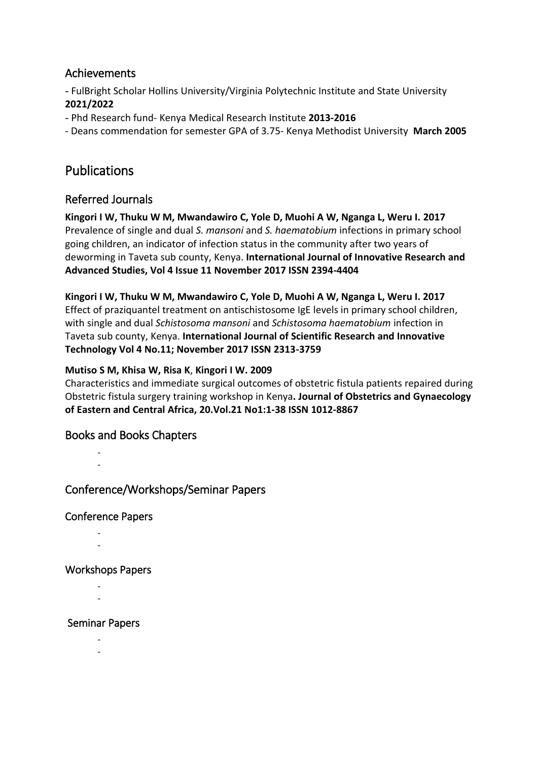## Achievements

- FulBright Scholar Hollins University/Virginia Polytechnic Institute and State University **2021/2022**

- Phd Research fund- Kenya Medical Research Institute **2013-2016**

- Deans commendation for semester GPA of 3.75- Kenya Methodist University **March 2005**

## Publications

## Referred Journals

**Kingori I W, Thuku W M, Mwandawiro C, Yole D, Muohi A W, Nganga L, Weru I. 2017** Prevalence of single and dual *S. mansoni* and *S. haematobium* infections in primary school going children, an indicator of infection status in the community after two years of deworming in Taveta sub county, Kenya. **International Journal of Innovative Research and Advanced Studies, Vol 4 Issue 11 November 2017 ISSN 2394-4404**

**Kingori I W, Thuku W M, Mwandawiro C, Yole D, Muohi A W, Nganga L, Weru I. 2017** Effect of praziquantel treatment on antischistosome IgE levels in primary school children, with single and dual *Schistosoma mansoni* and *Schistosoma haematobium* infection in Taveta sub county, Kenya. **International Journal of Scientific Research and Innovative Technology Vol 4 No.11; November 2017 ISSN 2313-3759**

#### **Mutiso S M, Khisa W, Risa K**, **Kingori I W. 2009**

Characteristics and immediate surgical outcomes of obstetric fistula patients repaired during Obstetric fistula surgery training workshop in Kenya**. Journal of Obstetrics and Gynaecology of Eastern and Central Africa, 20.Vol.21 No1:1-38 ISSN 1012-8867**

## Books and Books Chapters

- -

## Conference/Workshops/Seminar Papers

## Conference Papers

- -
- -

## Workshops Papers

- -
- -

#### Seminar Papers

- -
- -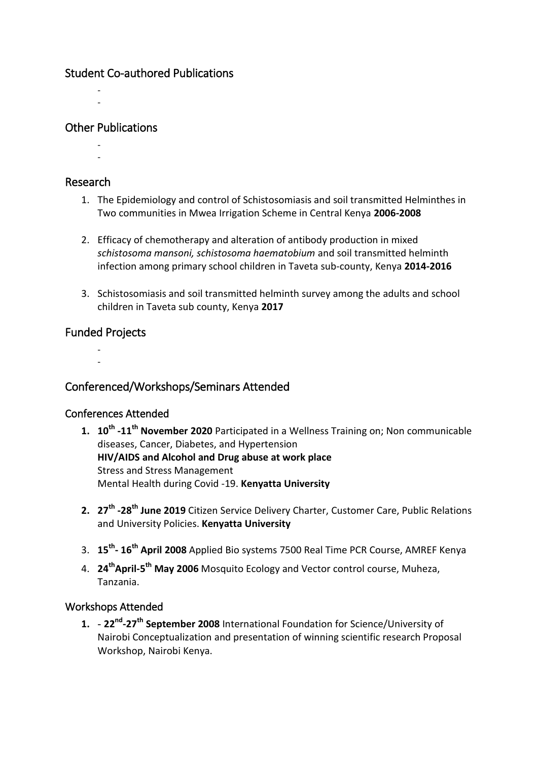## Student Co-authored Publications

- -

## Other Publications

-

-

## Research

- 1. The Epidemiology and control of Schistosomiasis and soil transmitted Helminthes in Two communities in Mwea Irrigation Scheme in Central Kenya **2006-2008**
- 2. Efficacy of chemotherapy and alteration of antibody production in mixed *schistosoma mansoni, schistosoma haematobium* and soil transmitted helminth infection among primary school children in Taveta sub-county, Kenya **2014-2016**
- 3. Schistosomiasis and soil transmitted helminth survey among the adults and school children in Taveta sub county, Kenya **2017**

## Funded Projects

- -

Conferenced/Workshops/Seminars Attended

## Conferences Attended

- **1. 10th -11th November 2020** Participated in a Wellness Training on; Non communicable diseases, Cancer, Diabetes, and Hypertension **HIV/AIDS and Alcohol and Drug abuse at work place** Stress and Stress Management Mental Health during Covid -19. **Kenyatta University**
- **2. 27th -28th June 2019** Citizen Service Delivery Charter, Customer Care, Public Relations and University Policies. **Kenyatta University**
- 3. **15th - 16th April 2008** Applied Bio systems 7500 Real Time PCR Course, AMREF Kenya
- 4. **24thApril-5 th May 2006** Mosquito Ecology and Vector control course, Muheza, Tanzania.

## Workshops Attended

**1.** - **22nd -27th September 2008** International Foundation for Science/University of Nairobi Conceptualization and presentation of winning scientific research Proposal Workshop, Nairobi Kenya.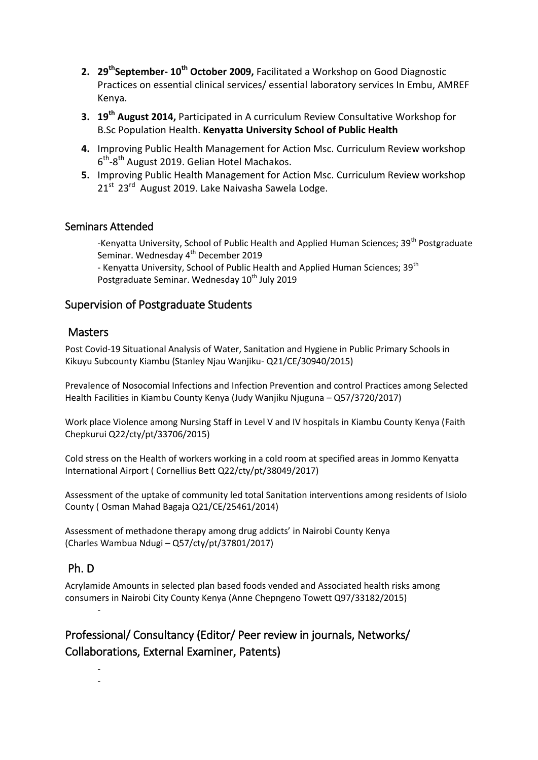- **2. 29thSeptember- 10th October 2009,** Facilitated a Workshop on Good Diagnostic Practices on essential clinical services/ essential laboratory services In Embu, AMREF Kenya.
- **3. 19th August 2014,** Participated in A curriculum Review Consultative Workshop for B.Sc Population Health. **Kenyatta University School of Public Health**
- **4.** Improving Public Health Management for Action Msc. Curriculum Review workshop 6<sup>th</sup>-8<sup>th</sup> August 2019. Gelian Hotel Machakos.
- **5.** Improving Public Health Management for Action Msc. Curriculum Review workshop 21<sup>st</sup> 23<sup>rd</sup> August 2019. Lake Naivasha Sawela Lodge.

#### Seminars Attended

-Kenyatta University, School of Public Health and Applied Human Sciences; 39<sup>th</sup> Postgraduate Seminar. Wednesday 4<sup>th</sup> December 2019

- Kenyatta University, School of Public Health and Applied Human Sciences; 39<sup>th</sup> Postgraduate Seminar. Wednesday 10<sup>th</sup> July 2019

## Supervision of Postgraduate Students

## **Masters**

Post Covid-19 Situational Analysis of Water, Sanitation and Hygiene in Public Primary Schools in Kikuyu Subcounty Kiambu (Stanley Njau Wanjiku- Q21/CE/30940/2015)

Prevalence of Nosocomial Infections and Infection Prevention and control Practices among Selected Health Facilities in Kiambu County Kenya (Judy Wanjiku Njuguna – Q57/3720/2017)

Work place Violence among Nursing Staff in Level V and IV hospitals in Kiambu County Kenya (Faith Chepkurui Q22/cty/pt/33706/2015)

Cold stress on the Health of workers working in a cold room at specified areas in Jommo Kenyatta International Airport ( Cornellius Bett Q22/cty/pt/38049/2017)

Assessment of the uptake of community led total Sanitation interventions among residents of Isiolo County ( Osman Mahad Bagaja Q21/CE/25461/2014)

Assessment of methadone therapy among drug addicts' in Nairobi County Kenya (Charles Wambua Ndugi – Q57/cty/pt/37801/2017)

## Ph. D

-

- -

Acrylamide Amounts in selected plan based foods vended and Associated health risks among consumers in Nairobi City County Kenya (Anne Chepngeno Towett Q97/33182/2015)

## Professional/ Consultancy (Editor/ Peer review in journals, Networks/ Collaborations, External Examiner, Patents)